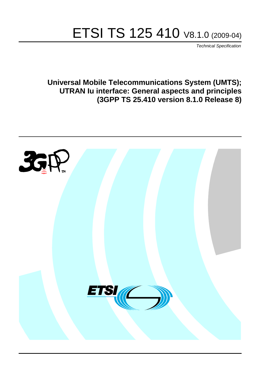# ETSI TS 125 410 V8.1.0 (2009-04)

*Technical Specification*

**Universal Mobile Telecommunications System (UMTS); UTRAN Iu interface: General aspects and principles (3GPP TS 25.410 version 8.1.0 Release 8)**

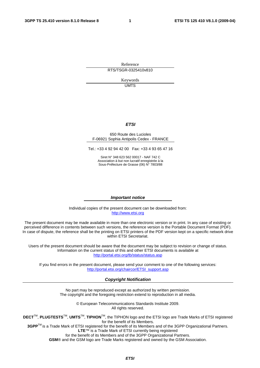Reference RTS/TSGR-0325410v810

> Keywords UMTS

#### *ETSI*

#### 650 Route des Lucioles F-06921 Sophia Antipolis Cedex - FRANCE

Tel.: +33 4 92 94 42 00 Fax: +33 4 93 65 47 16

Siret N° 348 623 562 00017 - NAF 742 C Association à but non lucratif enregistrée à la Sous-Préfecture de Grasse (06) N° 7803/88

#### *Important notice*

Individual copies of the present document can be downloaded from: [http://www.etsi.org](http://www.etsi.org/)

The present document may be made available in more than one electronic version or in print. In any case of existing or perceived difference in contents between such versions, the reference version is the Portable Document Format (PDF). In case of dispute, the reference shall be the printing on ETSI printers of the PDF version kept on a specific network drive within ETSI Secretariat.

Users of the present document should be aware that the document may be subject to revision or change of status. Information on the current status of this and other ETSI documents is available at <http://portal.etsi.org/tb/status/status.asp>

If you find errors in the present document, please send your comment to one of the following services: [http://portal.etsi.org/chaircor/ETSI\\_support.asp](http://portal.etsi.org/chaircor/ETSI_support.asp)

#### *Copyright Notification*

No part may be reproduced except as authorized by written permission. The copyright and the foregoing restriction extend to reproduction in all media.

> © European Telecommunications Standards Institute 2009. All rights reserved.

**DECT**TM, **PLUGTESTS**TM, **UMTS**TM, **TIPHON**TM, the TIPHON logo and the ETSI logo are Trade Marks of ETSI registered for the benefit of its Members.

**3GPP**TM is a Trade Mark of ETSI registered for the benefit of its Members and of the 3GPP Organizational Partners. **LTE**™ is a Trade Mark of ETSI currently being registered

for the benefit of its Members and of the 3GPP Organizational Partners.

**GSM**® and the GSM logo are Trade Marks registered and owned by the GSM Association.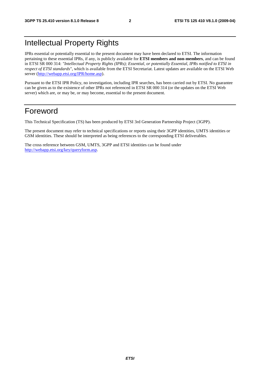## Intellectual Property Rights

IPRs essential or potentially essential to the present document may have been declared to ETSI. The information pertaining to these essential IPRs, if any, is publicly available for **ETSI members and non-members**, and can be found in ETSI SR 000 314: *"Intellectual Property Rights (IPRs); Essential, or potentially Essential, IPRs notified to ETSI in respect of ETSI standards"*, which is available from the ETSI Secretariat. Latest updates are available on the ETSI Web server ([http://webapp.etsi.org/IPR/home.asp\)](http://webapp.etsi.org/IPR/home.asp).

Pursuant to the ETSI IPR Policy, no investigation, including IPR searches, has been carried out by ETSI. No guarantee can be given as to the existence of other IPRs not referenced in ETSI SR 000 314 (or the updates on the ETSI Web server) which are, or may be, or may become, essential to the present document.

## Foreword

This Technical Specification (TS) has been produced by ETSI 3rd Generation Partnership Project (3GPP).

The present document may refer to technical specifications or reports using their 3GPP identities, UMTS identities or GSM identities. These should be interpreted as being references to the corresponding ETSI deliverables.

The cross reference between GSM, UMTS, 3GPP and ETSI identities can be found under [http://webapp.etsi.org/key/queryform.asp.](http://webapp.etsi.org/key/queryform.asp)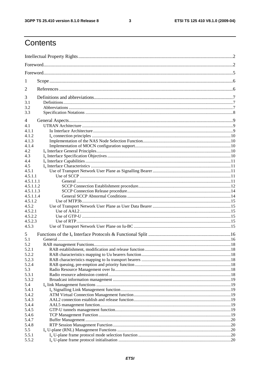$\mathbf{3}$ 

## Contents

| 1                |  |  |  |  |
|------------------|--|--|--|--|
| 2                |  |  |  |  |
| 3                |  |  |  |  |
| 3.1              |  |  |  |  |
| 3.2              |  |  |  |  |
| 3.3              |  |  |  |  |
| 4                |  |  |  |  |
| 4.1              |  |  |  |  |
| 4.1.1            |  |  |  |  |
| 4.1.2            |  |  |  |  |
| 4.1.3            |  |  |  |  |
| 4.1.4<br>4.2     |  |  |  |  |
| 4.3              |  |  |  |  |
| 4.4              |  |  |  |  |
| 4.5              |  |  |  |  |
| 4.5.1            |  |  |  |  |
| 4.5.1.1          |  |  |  |  |
| 4.5.1.1.1        |  |  |  |  |
| 4.5.1.1.2        |  |  |  |  |
| 4.5.1.1.3        |  |  |  |  |
| 4.5.1.1.4        |  |  |  |  |
| 4.5.1.2          |  |  |  |  |
| 4.5.2            |  |  |  |  |
| 4.5.2.1          |  |  |  |  |
| 4.5.2.2          |  |  |  |  |
| 4.5.2.3<br>4.5.3 |  |  |  |  |
| 5                |  |  |  |  |
| 5.1              |  |  |  |  |
| 5.2              |  |  |  |  |
| 5.2.1            |  |  |  |  |
| 5.2.2            |  |  |  |  |
| 5.2.3            |  |  |  |  |
| 5.2.4            |  |  |  |  |
| 5.3              |  |  |  |  |
| 5.3.1            |  |  |  |  |
| 5.3.2            |  |  |  |  |
| 5.4              |  |  |  |  |
| 5.4.1            |  |  |  |  |
| 5.4.2            |  |  |  |  |
| 5.4.3<br>5.4.4   |  |  |  |  |
| 5.4.5            |  |  |  |  |
| 5.4.6            |  |  |  |  |
| 5.4.7            |  |  |  |  |
| 5.4.8            |  |  |  |  |
| 5.5              |  |  |  |  |
| 5.5.1            |  |  |  |  |
| 5.5.2            |  |  |  |  |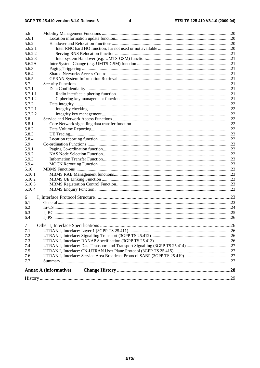| 5.6            |                               |  |
|----------------|-------------------------------|--|
| 5.6.1          |                               |  |
| 5.6.2          |                               |  |
| 5.6.2.1        |                               |  |
| 5.6.2.2        |                               |  |
| 5.6.2.3        |                               |  |
| 5.6.2A         |                               |  |
| 5.6.3          |                               |  |
| 5.6.4          |                               |  |
| 5.6.5          |                               |  |
| 5.7            |                               |  |
| 5.7.1          |                               |  |
| 5.7.1.1        |                               |  |
| 5.7.1.2        |                               |  |
| 5.7.2          |                               |  |
| 5.7.2.1        |                               |  |
| 5.7.2.2        |                               |  |
| 5.8            |                               |  |
| 5.8.1          |                               |  |
| 5.8.2          |                               |  |
| 5.8.3          |                               |  |
| 5.8.4          |                               |  |
| 5.9            |                               |  |
| 5.9.1          |                               |  |
| 5.9.2          |                               |  |
| 5.9.3          |                               |  |
| 5.9.4          |                               |  |
| 5.10           |                               |  |
| 5.10.1         |                               |  |
| 5.10.2         |                               |  |
| 5.10.3         |                               |  |
| 5.10.4         |                               |  |
|                |                               |  |
| 6              |                               |  |
| 6.1            |                               |  |
| 6.2            |                               |  |
| 6.3            |                               |  |
| 6.4            |                               |  |
| 7 <sup>1</sup> |                               |  |
| 7.1            |                               |  |
| 7.2            |                               |  |
| 7.3            |                               |  |
| 7.4            |                               |  |
| 7.5            |                               |  |
| 7.6            |                               |  |
| 7.7            |                               |  |
|                |                               |  |
|                | <b>Annex A (informative):</b> |  |
|                |                               |  |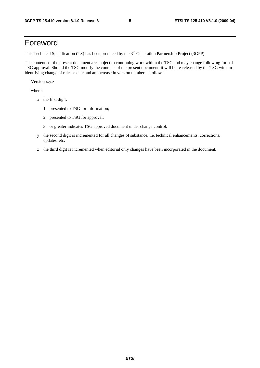## Foreword

This Technical Specification (TS) has been produced by the 3<sup>rd</sup> Generation Partnership Project (3GPP).

The contents of the present document are subject to continuing work within the TSG and may change following formal TSG approval. Should the TSG modify the contents of the present document, it will be re-released by the TSG with an identifying change of release date and an increase in version number as follows:

Version x.y.z

where:

- x the first digit:
	- 1 presented to TSG for information;
	- 2 presented to TSG for approval;
	- 3 or greater indicates TSG approved document under change control.
- y the second digit is incremented for all changes of substance, i.e. technical enhancements, corrections, updates, etc.
- z the third digit is incremented when editorial only changes have been incorporated in the document.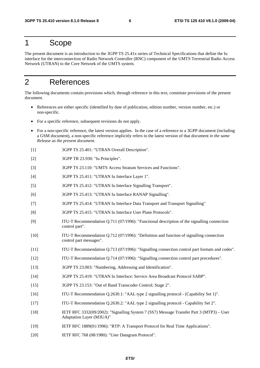### 1 Scope

The present document is an introduction to the 3GPP TS 25.41x series of Technical Specifications that define the Iu interface for the interconnection of Radio Network Controller (RNC) component of the UMTS Terrestrial Radio Access Network (UTRAN) to the Core Network of the UMTS system.

## 2 References

The following documents contain provisions which, through reference in this text, constitute provisions of the present document.

- References are either specific (identified by date of publication, edition number, version number, etc.) or non-specific.
- For a specific reference, subsequent revisions do not apply.
- For a non-specific reference, the latest version applies. In the case of a reference to a 3GPP document (including a GSM document), a non-specific reference implicitly refers to the latest version of that document *in the same Release as the present document*.
- [1] 3GPP TS 25.401: "UTRAN Overall Description".
- [2] 3GPP TR 23.930: "Iu Principles".
- [3] 3GPP TS 23.110: "UMTS Access Stratum Services and Functions".
- [4] 3GPP TS 25.411: "UTRAN Iu Interface Layer 1".
- [5] 3GPP TS 25.412: "UTRAN Iu Interface Signalling Transport".
- [6] 3GPP TS 25.413: "UTRAN Iu Interface RANAP Signalling".
- [7] 3GPP TS 25.414: "UTRAN Iu Interface Data Transport and Transport Signalling"
- [8] 3GPP TS 25.415: "UTRAN Iu Interface User Plane Protocols".
- [9] ITU-T Recommendation Q.711 (07/1996): "Functional description of the signalling connection control part".
- [10] ITU-T Recommendation Q.712 (07/1996): "Definition and function of signalling connection control part messages".
- [11] ITU-T Recommendation Q.713 (07/1996): "Signalling connection control part formats and codes".
- [12] ITU-T Recommendation Q.714 (07/1996): "Signalling connection control part procedures".
- [13] 3GPP TS 23.003: "Numbering, Addressing and Identification".
- [14] 3GPP TS 25.419: "UTRAN Iu Interface: Service Area Broadcast Protocol SABP".
- [15] 3GPP TS 23.153: "Out of Band Transcoder Control; Stage 2".
- [16] ITU-T Recommendation Q.2630.1: "AAL type 2 signalling protocol (Capability Set 1)".
- [17] ITU-T Recommendation Q.2630.2: "AAL type 2 signalling protocol Capability Set 2".
- [18] IETF RFC 3332(09/2002): "Signalling System 7 (SS7) Message Transfer Part 3 (MTP3) User Adaptation Layer (M3UA)"
- [19] IETF RFC 1889(01/1996): "RTP: A Transport Protocol for Real Time Applications".
- [20] IETF RFC 768 (08/1980): "User Datagram Protocol".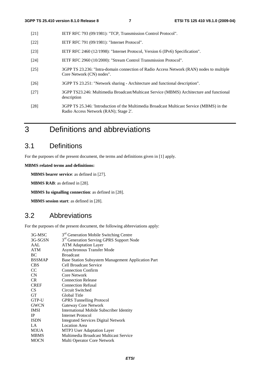- [21] IETF RFC 793 (09/1981): "TCP, Transmission Control Protocol".
- [22] **IETF RFC 791 (09/1981): "Internet Protocol".**
- [23] IETF RFC 2460 (12/1998): "Internet Protocol, Version 6 (IPv6) Specification".
- [24] IETF RFC 2960 (10/2000): "Stream Control Transmission Protocol".
- [25] 3GPP TS 23.236: "Intra-domain connection of Radio Access Network (RAN) nodes to multiple Core Network (CN) nodes".
- [26] 3GPP TS 23.251: "Network sharing Architecture and functional description".
- [27] 3GPP TS23.246: Multimedia Broadcast/Multicast Service (MBMS) Architecture and functional description
- [28] 3GPP TS 25.346: 'Introduction of the Multimedia Broadcast Multicast Service (MBMS) in the Radio Access Network (RAN); Stage 2'.
- 3 Definitions and abbreviations

## 3.1 Definitions

For the purposes of the present document, the terms and definitions given in [1] apply.

**MBMS related terms and definitions:** 

**MBMS bearer service**: as defined in [27].

**MBMS RAB**: as defined in [28].

**MBMS Iu signalling connection**: as defined in [28].

**MBMS session start**: as defined in [28].

### 3.2 Abbreviations

For the purposes of the present document, the following abbreviations apply:

|                 | 3 <sup>rd</sup> Generation Mobile Switching Centre   |
|-----------------|------------------------------------------------------|
| 3G-MSC          |                                                      |
| 3G-SGSN         | 3 <sup>rd</sup> Generation Serving GPRS Support Node |
| AAL             | <b>ATM Adaptation Layer</b>                          |
| <b>ATM</b>      | <b>Asynchronous Transfer Mode</b>                    |
| BC              | <b>Broadcast</b>                                     |
| <b>BSSMAP</b>   | Base Station Subsystem Management Application Part   |
| <b>CBS</b>      | Cell Broadcast Service                               |
| <sub>CC</sub>   | <b>Connection Confirm</b>                            |
| CN              | Core Network                                         |
| <b>CR</b>       | <b>Connection Release</b>                            |
| <b>CREF</b>     | <b>Connection Refusal</b>                            |
| CS <sup>-</sup> | Circuit Switched                                     |
| <b>GT</b>       | Global Title                                         |
| GTP-U           | <b>GPRS</b> Tunnelling Protocol                      |
| <b>GWCN</b>     | <b>Gateway Core Network</b>                          |
| <b>IMSI</b>     | <b>International Mobile Subscriber Identity</b>      |
| <b>IP</b>       | Internet Protocol                                    |
| <b>ISDN</b>     | <b>Integrated Services Digital Network</b>           |
| LA              | <b>Location Area</b>                                 |
| M3UA            | MTP3 User Adaptation Layer                           |
| <b>MBMS</b>     | Multimedia Broadcast Multicast Service               |
| <b>MOCN</b>     | Multi Operator Core Network                          |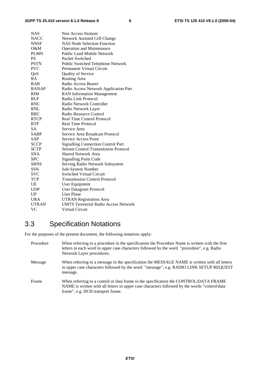| <b>NAS</b>   | Non Access Stratum                           |
|--------------|----------------------------------------------|
| <b>NACC</b>  | Network Assisted Cell Change                 |
| <b>NNSF</b>  | <b>NAS Node Selection Function</b>           |
| $O\&M$       | <b>Operation and Maintenance</b>             |
| <b>PLMN</b>  | <b>Public Land Mobile Network</b>            |
| <b>PS</b>    | Packet Switched                              |
| <b>PSTN</b>  | Public Switched Telephone Network            |
| <b>PVC</b>   | Permanent Virtual Circuit                    |
| QoS          | Quality of Service                           |
| RA           | Routing Area                                 |
| <b>RAB</b>   | Radio Access Bearer                          |
| <b>RANAP</b> | Radio Access Network Application Part        |
| <b>RIM</b>   | <b>RAN</b> Information Management            |
| <b>RLP</b>   | Radio Link Protocol                          |
| <b>RNC</b>   | Radio Network Controller                     |
| RNL          | Radio Network Layer                          |
| RRC          | Radio Resource Control                       |
| <b>RTCP</b>  | Real Time Control Protocol                   |
| <b>RTP</b>   | <b>Real Time Protocol</b>                    |
| <b>SA</b>    | Service Area                                 |
| <b>SABP</b>  | Service Area Broadcast Protocol              |
| SAP          | <b>Service Access Point</b>                  |
| <b>SCCP</b>  | <b>Signalling Connection Control Part</b>    |
| <b>SCTP</b>  | <b>Stream Control Transmission Protocol</b>  |
| <b>SNA</b>   | <b>Shared Network Area</b>                   |
| <b>SPC</b>   | <b>Signalling Point Code</b>                 |
| <b>SRNS</b>  | Serving Radio Network Subsystem              |
| SSN          | Sub-System Number                            |
| <b>SVC</b>   | <b>Switched Virtual Circuit</b>              |
| TCP          | <b>Transmission Control Protocol</b>         |
| UE           | User Equipment                               |
| <b>UDP</b>   | User Datagram Protocol                       |
| UP           | <b>User Plane</b>                            |
| <b>URA</b>   | <b>UTRAN Registration Area</b>               |
| <b>UTRAN</b> | <b>UMTS Terrestrial Radio Access Network</b> |
| VC           | <b>Virtual Circuit</b>                       |

## 3.3 Specification Notations

For the purposes of the present document, the following notations apply:

| Procedure | When referring to a procedure in the specification the Procedure Name is written with the first<br>letters in each word in upper case characters followed by the word "procedure", e.g. Radio<br>Network Layer procedures.   |
|-----------|------------------------------------------------------------------------------------------------------------------------------------------------------------------------------------------------------------------------------|
| Message   | When referring to a message in the specification the MESSAGE NAME is written with all letters<br>in upper case characters followed by the word "message", e.g. RADIO LINK SETUP REQUEST<br>message.                          |
| Frame     | When referring to a control or data frame in the specification the CONTROL/DATA FRAME<br>NAME is written with all letters in upper case characters followed by the words "control/data"<br>frame", e.g. DCH transport frame. |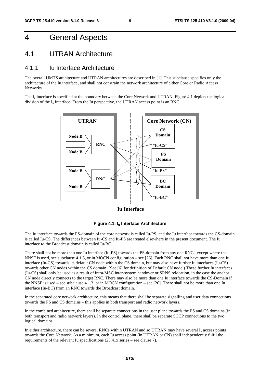## 4 General Aspects

### 4.1 UTRAN Architecture

#### 4.1.1 Iu Interface Architecture

The overall UMTS architecture and UTRAN architectures are described in [1]. This subclause specifies only the architecture of the Iu interface, and shall not constrain the network architecture of either Core or Radio Access Networks.

The  $I_{\text{u}}$  interface is specified at the boundary between the Core Network and UTRAN. Figure 4.1 depicts the logical division of the  $I_u$  interface. From the Iu perspective, the UTRAN access point is an RNC.



**Iu Interface**



The Iu interface towards the PS-domain of the core network is called Iu-PS, and the Iu interface towards the CS-domain is called Iu-CS. The differences between Iu-CS and Iu-PS are treated elsewhere in the present document. The Iu interface to the Broadcast domain is called Iu-BC.

There shall not be more than one Iu interface (Iu-PS) towards the PS-domain from any one RNC– except where the NNSF is used, see subclause 4.1.3, or in MOCN configuration – see [26]. Each RNC shall not have more than one Iu interface (Iu-CS) towards its default CN node within the CS domain, but may also have further Iu interfaces (Iu-CS) towards other CN nodes within the CS domain. (See [6] for definition of Default CN node.) These further Iu interfaces (Iu-CS) shall only be used as a result of intra-MSC inter-system handover or SRNS relocation, in the case the anchor CN node directly connects to the target RNC. There may also be more than one Iu interface towards the CS-Domain if the NNSF is used – see subclause 4.1.3, or in MOCN configuration – see [26]. There shall not be more than one Iu interface (Iu-BC) from an RNC towards the Broadcast domain.

In the separated core network architecture, this means that there shall be separate signalling and user data connections towards the PS and CS domains – this applies in both transport and radio network layers.

In the combined architecture, there shall be separate connections in the user plane towards the PS and CS domains (in both transport and radio network layers). In the control plane, there shall be separate SCCP connections to the two logical domains.

In either architecture, there can be several RNCs within UTRAN and so UTRAN may have several  $I<sub>u</sub>$  access points towards the Core Network. As a minimum, each Iu access point (in UTRAN or CN) shall independently fulfil the requirements of the relevant Iu specifications (25.41x series – see clause 7).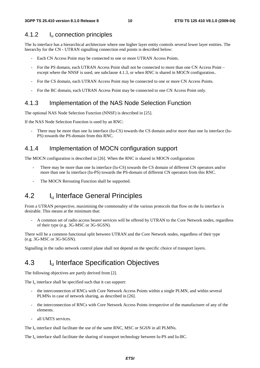#### 4.1.2 Iu connection principles

The Iu interface has a hierarchical architecture where one higher layer entity controls several lower layer entities. The hierarchy for the CN - UTRAN signalling connection end points is described below:

- Each CN Access Point may be connected to one or more UTRAN Access Points.
- For the PS domain, each UTRAN Access Point shall not be connected to more than one CN Access Point except where the NNSF is used, see subclause 4.1.3, or when RNC is shared in MOCN configuration..
- For the CS domain, each UTRAN Access Point may be connected to one or more CN Access Points.
- For the BC domain, each UTRAN Access Point may be connected to one CN Access Point only.

#### 4.1.3 Implementation of the NAS Node Selection Function

The optional NAS Node Selection Function (NNSF) is described in [25].

If the NAS Node Selection Function is used by an RNC:

There may be more than one Iu interface (Iu-CS) towards the CS domain and/or more than one Iu interface (Iu-PS) towards the PS-domain from this RNC.

#### 4.1.4 Implementation of MOCN configuration support

The MOCN configuration is described in [26]. When the RNC is shared in MOCN configuration:

- There may be more than one Iu interface (Iu-CS) towards the CS domain of different CN operators and/or more than one Iu interface (Iu-PS) towards the PS-domain of different CN operators from this RNC.
- The MOCN Rerouting Function shall be supported.

### 4.2 I<sub>u</sub> Interface General Principles

From a UTRAN perspective, maximising the commonality of the various protocols that flow on the Iu interface is desirable. This means at the minimum that:

- A common set of radio access bearer services will be offered by UTRAN to the Core Network nodes, regardless of their type (e.g. 3G-MSC or 3G-SGSN).

There will be a common functional split between UTRAN and the Core Network nodes, regardless of their type (e.g. 3G-MSC or 3G-SGSN).

Signalling in the radio network control plane shall not depend on the specific choice of transport layers.

### 4.3 I<sub>u</sub> Interface Specification Objectives

The following objectives are partly derived from [2].

The  $I_{\nu}$  interface shall be specified such that it can support:

- the interconnection of RNCs with Core Network Access Points within a single PLMN, and within several PLMNs in case of network sharing, as described in [26].
- the interconnection of RNCs with Core Network Access Points irrespective of the manufacturer of any of the elements.
- all UMTS services.

The  $I<sub>u</sub>$  interface shall facilitate the use of the same RNC, MSC or SGSN in all PLMNs.

The I<sub>u</sub> interface shall facilitate the sharing of transport technology between Iu-PS and Iu-BC.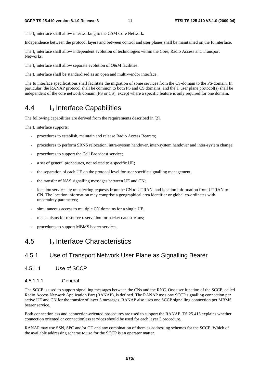The  $I_{\text{u}}$  interface shall allow interworking to the GSM Core Network.

Independence between the protocol layers and between control and user planes shall be maintained on the Iu interface.

The I<sub>u</sub> interface shall allow independent evolution of technologies within the Core, Radio Access and Transport Networks.

The  $I_u$  interface shall allow separate evolution of O&M facilities.

The  $I_{\text{u}}$  interface shall be standardised as an open and multi-vendor interface.

The Iu interface specifications shall facilitate the migration of some services from the CS-domain to the PS-domain. In particular, the RANAP protocol shall be common to both PS and CS domains, and the  $I<sub>u</sub>$  user plane protocol(s) shall be independent of the core network domain (PS or CS), except where a specific feature is only required for one domain.

## 4.4 Iu Interface Capabilities

The following capabilities are derived from the requirements described in [2].

The  $I_{\text{u}}$  interface supports:

- procedures to establish, maintain and release Radio Access Bearers;
- procedures to perform SRNS relocation, intra-system handover, inter-system handover and inter-system change;
- procedures to support the Cell Broadcast service;
- a set of general procedures, not related to a specific UE;
- the separation of each UE on the protocol level for user specific signalling management;
- the transfer of NAS signalling messages between UE and CN;
- location services by transferring requests from the CN to UTRAN, and location information from UTRAN to CN. The location information may comprise a geographical area identifier or global co-ordinates with uncertainty parameters;
- simultaneous access to multiple CN domains for a single UE;
- mechanisms for resource reservation for packet data streams;
- procedures to support MBMS bearer services.

## 4.5 Iu Interface Characteristics

### 4.5.1 Use of Transport Network User Plane as Signalling Bearer

4.5.1.1 Use of SCCP

#### 4.5.1.1.1 General

The SCCP is used to support signalling messages between the CNs and the RNC. One user function of the SCCP, called Radio Access Network Application Part (RANAP), is defined. The RANAP uses one SCCP signalling connection per active UE and CN for the transfer of layer 3 messages. RANAP also uses one SCCP signalling connection per MBMS bearer service.

Both connectionless and connection-oriented procedures are used to support the RANAP. TS 25.413 explains whether connection oriented or connectionless services should be used for each layer 3 procedure.

RANAP may use SSN, SPC and/or GT and any combination of them as addressing schemes for the SCCP. Which of the available addressing scheme to use for the SCCP is an operator matter.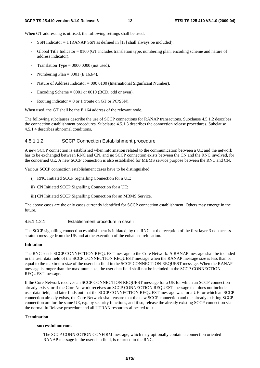When GT addressing is utilised, the following settings shall be used:

- SSN Indicator  $= 1$  (RANAP SSN as defined in [13] shall always be included).
- Global Title Indicator = 0100 (GT includes translation type, numbering plan, encoding scheme and nature of address indicator).
- Translation Type =  $0000 0000$  (not used).
- Numbering Plan =  $0001$  (E.163/4).
- Nature of Address Indicator = 000 0100 (International Significant Number).
- Encoding Scheme  $= 0001$  or 0010 (BCD, odd or even).
- Routing indicator = 0 or 1 (route on GT or PC/SSN).

When used, the GT shall be the E.164 address of the relevant node.

The following subclauses describe the use of SCCP connections for RANAP transactions. Subclause 4.5.1.2 describes the connection establishment procedures. Subclause 4.5.1.3 describes the connection release procedures. Subclause 4.5.1.4 describes abnormal conditions.

#### 4.5.1.1.2 SCCP Connection Establishment procedure

A new SCCP connection is established when information related to the communication between a UE and the network has to be exchanged between RNC and CN, and no SCCP connection exists between the CN and the RNC involved, for the concerned UE. A new SCCP connection is also established for MBMS service purpose between the RNC and CN.

Various SCCP connection establishment cases have to be distinguished:

- i) RNC Initiated SCCP Signalling Connection for a UE;
- ii) CN Initiated SCCP Signalling Connection for a UE;
- iii) CN Initiated SCCP Signalling Connection for an MBMS Service.

The above cases are the only cases currently identified for SCCP connection establishment. Others may emerge in the future.

#### 4.5.1.1.2.1 Establishment procedure in case i

The SCCP signalling connection establishment is initiated, by the RNC, at the reception of the first layer 3 non access stratum message from the UE and at the execution of the enhanced relocation.

#### **Initiation**

The RNC sends SCCP CONNECTION REQUEST message to the Core Network. A RANAP message shall be included in the user data field of the SCCP CONNECTION REQUEST message when the RANAP message size is less than or equal to the maximum size of the user data field in the SCCP CONNECTION REQUEST message. When the RANAP message is longer than the maximum size, the user data field shall not be included in the SCCP CONNECTION REQUEST message.

If the Core Network receives an SCCP CONNECTION REQUEST message for a UE for which an SCCP connection already exists, or if the Core Network receives an SCCP CONNECTION REQUEST message that does not include a user data field, and later finds out that the SCCP CONNECTION REQUEST message was for a UE for which an SCCP connection already exists, the Core Network shall ensure that the new SCCP connection and the already existing SCCP connection are for the same UE, e.g. by security functions, and if so, release the already existing SCCP connection via the normal Iu Release procedure and all UTRAN resources allocated to it.

#### **Termination**

- **successful outcome** 
	- The SCCP CONNECTION CONFIRM message, which may optionally contain a connection oriented RANAP message in the user data field, is returned to the RNC.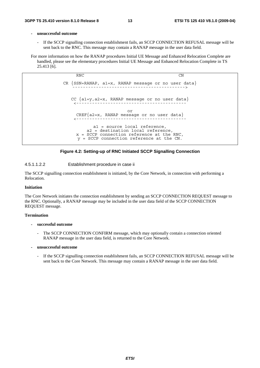#### **- unsuccessful outcome**

If the SCCP signalling connection establishment fails, an SCCP CONNECTION REFUSAL message will be sent back to the RNC. This message may contain a RANAP message in the user data field.

For more information on how the RANAP procedures Initial UE Message and Enhanced Relocation Complete are handled, please see the elementary procedures Initial UE Message and Enhanced Relocation Complete in TS 25.413 [6].

> RNC CN CR  ${SSN=RANAP, a1=x, RANAP message or no user data}$ CC {a1=y,a2=x, RANAP message or no user data} <----------------------------------------- or  $CREF{a2=x, RANAP message or no user data}$ <----------------------------------------- a1 = source local reference, a2 = destination local reference, x = SCCP connection reference at the RNC, y = SCCP connection reference at the CN.

#### **Figure 4.2: Setting-up of RNC Initiated SCCP Signalling Connection**

#### 4.5.1.1.2.2 Establishment procedure in case ii

The SCCP signalling connection establishment is initiated, by the Core Network, in connection with performing a Relocation.

#### **Initiation**

The Core Network initiates the connection establishment by sending an SCCP CONNECTION REQUEST message to the RNC. Optionally, a RANAP message may be included in the user data field of the SCCP CONNECTION REQUEST message.

#### **Termination**

#### **- successful outcome**

- The SCCP CONNECTION CONFIRM message, which may optionally contain a connection oriented RANAP message in the user data field, is returned to the Core Network.
- **unsuccessful outcome** 
	- If the SCCP signalling connection establishment fails, an SCCP CONNECTION REFUSAL message will be sent back to the Core Network. This message may contain a RANAP message in the user data field.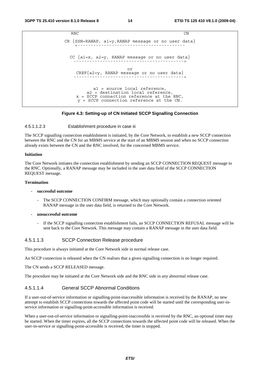```
RNC CN
CR \n{SSN=RANAP, al=y, RANAP message or no user data}CC {a1=x, a2=y, RANAP message or no user data} 
                         ------------------------------------------> 
                         or 
    CREF{a2=y, RANAP message or no user data} 
                        ------------------------------------------> 
           a1 = source local reference, 
        a2 = destination local reference, 
    x = SCCP connection reference at the RNC, 
     y = SCCP connection reference at the CN.
```
#### **Figure 4.3: Setting-up of CN Initiated SCCP Signalling Connection**

#### 4.5.1.1.2.3 Establishment procedure in case iii

The SCCP signalling connection establishment is initiated, by the Core Network, to establish a new SCCP connection between the RNC and the CN for an MBMS service at the start of an MBMS session and when no SCCP connection already exists between the CN and the RNC involved, for the concerned MBMS service.

#### **Initiation**

The Core Network initiates the connection establishment by sending an SCCP CONNECTION REQUEST message to the RNC. Optionally, a RANAP message may be included in the user data field of the SCCP CONNECTION REQUEST message.

#### **Termination**

#### **- successful outcome**

- The SCCP CONNECTION CONFIRM message, which may optionally contain a connection oriented RANAP message in the user data field, is returned to the Core Network.
- **unsuccessful outcome** 
	- If the SCCP signalling connection establishment fails, an SCCP CONNECTION REFUSAL message will be sent back to the Core Network. This message may contain a RANAP message in the user data field.

#### 4.5.1.1.3 SCCP Connection Release procedure

This procedure is always initiated at the Core Network side in normal release case.

An SCCP connection is released when the CN realises that a given signalling connection is no longer required.

The CN sends a SCCP RELEASED message.

The procedure may be initiated at the Core Network side and the RNC side in any abnormal release case.

#### 4.5.1.1.4 General SCCP Abnormal Conditions

If a user-out-of-service information or signalling-point-inaccessible information is received by the RANAP, no new attempt to establish SCCP connections towards the affected point code will be started until the corresponding user-inservice information or signalling-point-accessible information is received.

When a user-out-of-service information or signalling-point-inaccessible is received by the RNC, an optional timer may be started. When the timer expires, all the SCCP connections towards the affected point code will be released. When the user-in-service or signalling-point-accessible is received, the timer is stopped.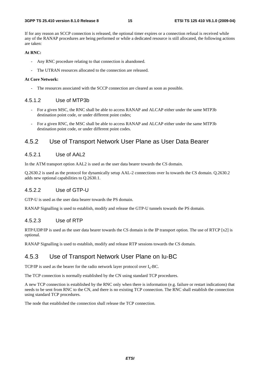If for any reason an SCCP connection is released, the optional timer expires or a connection refusal is received while any of the RANAP procedures are being performed or while a dedicated resource is still allocated, the following actions are taken:

#### **At RNC:**

- Any RNC procedure relating to that connection is abandoned.
- The UTRAN resources allocated to the connection are released.

#### **At Core Network:**

The resources associated with the SCCP connection are cleared as soon as possible.

#### 4.5.1.2 Use of MTP3b

- For a given MSC, the RNC shall be able to access RANAP and ALCAP either under the same MTP3b destination point code, or under different point codes;
- For a given RNC, the MSC shall be able to access RANAP and ALCAP either under the same MTP3b destination point code, or under different point codes.

#### 4.5.2 Use of Transport Network User Plane as User Data Bearer

#### 4.5.2.1 Use of AAL2

In the ATM transport option AAL2 is used as the user data bearer towards the CS domain.

Q.2630.2 is used as the protocol for dynamically setup AAL-2 connections over Iu towards the CS domain. Q.2630.2 adds new optional capabilities to Q.2630.1.

#### 4.5.2.2 Use of GTP-U

GTP-U is used as the user data bearer towards the PS domain.

RANAP Signalling is used to establish, modify and release the GTP-U tunnels towards the PS domain.

#### 4.5.2.3 Use of RTP

RTP/UDP/IP is used as the user data bearer towards the CS domain in the IP transport option. The use of RTCP [x2] is optional.

RANAP Signalling is used to establish, modify and release RTP sessions towards the CS domain.

#### 4.5.3 Use of Transport Network User Plane on Iu-BC

TCP/IP is used as the bearer for the radio network layer protocol over  $I_u$ -BC.

The TCP connection is normally established by the CN using standard TCP procedures.

A new TCP connection is established by the RNC only when there is information (e.g. failure or restart indications) that needs to be sent from RNC to the CN, and there is no existing TCP connection. The RNC shall establish the connection using standard TCP procedures.

The node that established the connection shall release the TCP connection.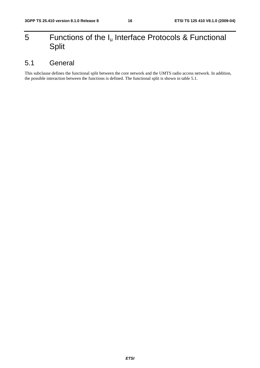## 5 Functions of the  $I_u$  Interface Protocols & Functional Split

## 5.1 General

This subclause defines the functional split between the core network and the UMTS radio access network. In addition, the possible interaction between the functions is defined. The functional split is shown in table 5.1.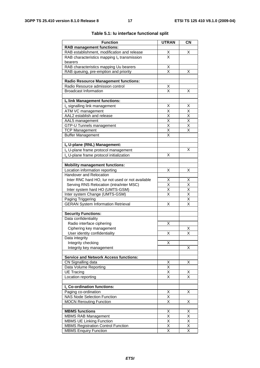| <b>Function</b>                                      | <b>UTRAN</b>                    | <b>CN</b>                    |
|------------------------------------------------------|---------------------------------|------------------------------|
| <b>RAB management functions:</b>                     |                                 |                              |
| RAB establishment, modification and release          |                                 | X                            |
| RAB characteristics mapping $I_u$ transmission       | $\frac{x}{x}$                   |                              |
| bearers                                              |                                 |                              |
| RAB characteristics mapping Uu bearers               | $\frac{\mathsf{X}}{\mathsf{X}}$ |                              |
| RAB queuing, pre-emption and priority                |                                 | Χ                            |
|                                                      |                                 |                              |
| <b>Radio Resource Management functions:</b>          |                                 |                              |
| Radio Resource admission control                     | <u>х</u>                        |                              |
| <b>Broadcast Information</b>                         | $\overline{\mathsf{x}}$         | Χ                            |
| Iu link Management functions:                        |                                 |                              |
| I <sub>u</sub> signalling link management            | Χ                               | X                            |
|                                                      |                                 |                              |
| ATM VC management<br>AAL2 establish and release      | Χ<br>$\overline{\mathsf{x}}$    | X<br>$\overline{\mathsf{X}}$ |
| AAL5 management                                      | $\overline{\mathsf{x}}$         | $\overline{\mathsf{x}}$      |
| GTP-U Tunnels management                             | X                               | Χ                            |
| <b>TCP Management</b>                                | $\overline{\mathsf{x}}$         | X                            |
| <b>Buffer Management</b>                             | X                               |                              |
|                                                      |                                 |                              |
| Iu U-plane (RNL) Management:                         |                                 |                              |
| I <sub>u</sub> U-plane frame protocol management     |                                 | X                            |
| I <sub>u</sub> U-plane frame protocol initialization | X                               |                              |
|                                                      |                                 |                              |
| <b>Mobility management functions:</b>                |                                 |                              |
| Location information reporting                       | Χ                               | х                            |
| Handover and Relocation                              |                                 |                              |
| Inter RNC hard HO, lur not used or not available     | X                               | <u>X</u>                     |
| Serving RNS Relocation (intra/inter MSC)             | $\overline{\mathsf{x}}$         | $\overline{\mathsf{x}}$      |
| Inter system hard HO (UMTS-GSM)                      | $\overline{\mathsf{x}}$         | $\overline{\mathsf{X}}$      |
| Inter system Change (UMTS-GSM)                       | Χ                               | $\overline{\mathsf{x}}$      |
| Paging Triggering                                    |                                 | $\overline{\mathsf{x}}$      |
| <b>GERAN System Information Retrieval</b>            | X                               | $\overline{\mathsf{x}}$      |
| <b>Security Functions:</b>                           |                                 |                              |
| Data confidentiality                                 |                                 |                              |
| Radio interface ciphering                            | Χ                               |                              |
| Ciphering key management                             |                                 | Χ                            |
| User identity confidentiality                        | X                               | $\overline{\mathsf{x}}$      |
| Data integrity                                       |                                 |                              |
| Integrity checking                                   | х                               |                              |
| Integrity key management                             |                                 | х                            |
|                                                      |                                 |                              |
| <b>Service and Network Access functions:</b>         |                                 |                              |
| CN Signalling data                                   | Χ                               | X                            |
| Data Volume Reporting                                | $\overline{\mathsf{x}}$         |                              |
| <b>UE Tracing</b>                                    | $\overline{\mathsf{x}}$         | Χ                            |
| Location reporting                                   | X                               | X                            |
| I <sub>u</sub> Co-ordination functions:              |                                 |                              |
| Paging co-ordination                                 | Х                               | X                            |
| <b>NAS Node Selection Function</b>                   | $\overline{\mathsf{x}}$         |                              |
| <b>MOCN Rerouting Function</b>                       | $\overline{\mathsf{x}}$         | X                            |
|                                                      |                                 |                              |
| <b>MBMS</b> functions                                | Χ                               | Χ                            |
| <b>MBMS RAB Management</b>                           | Χ                               | X                            |
| <b>MBMS UE Linking Function</b>                      | Χ<br>$\overline{\mathsf{x}}$    | Χ<br>$\overline{\mathsf{x}}$ |
| <b>MBMS Registration Control Function</b>            | $\overline{\mathsf{x}}$         | $\overline{\mathsf{x}}$      |
| <b>MBMS Enquiry Function</b>                         |                                 |                              |

#### **Table 5.1: Iu interface functional split**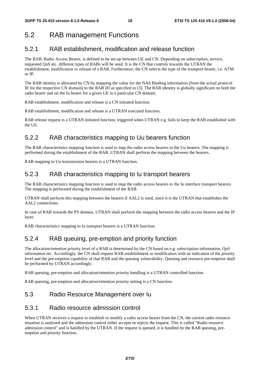## 5.2 RAB management Functions

### 5.2.1 RAB establishment, modification and release function

The RAB, Radio Access Bearer, is defined to be set-up between UE and CN. Depending on subscription, service, requested QoS etc. different types of RABs will be used. It is the CN that controls towards the UTRAN the establishment, modification or release of a RAB. Furthermore, the CN selects the type of the transport bearer, i.e. ATM or IP.

The RAB identity is allocated by CN by mapping the value for the NAS Binding information (from the actual protocol IE for the respective CN domain) to the RAB ID as specified in [3]. The RAB identity is globally significant on both the radio bearer and on the Iu bearer for a given UE in a particular CN domain.

RAB establishment, modification and release is a CN initiated function.

RAB establishment, modification and release is a UTRAN executed function.

RAB release request is a UTRAN initiated function, triggered when UTRAN e.g. fails to keep the RAB established with the UE.

### 5.2.2 RAB characteristics mapping to Uu bearers function

The RAB characteristics mapping function is used to map the radio access bearers to the Uu bearers. The mapping is performed during the establishment of the RAB. UTRAN shall perform the mapping between the bearers.

RAB mapping to Uu transmission bearers is a UTRAN function.

### 5.2.3 RAB characteristics mapping to Iu transport bearers

The RAB characteristics mapping function is used to map the radio access bearers to the Iu interface transport bearers. The mapping is performed during the establishment of the RAB.

UTRAN shall perform this mapping between the bearers if AAL2 is used, since it is the UTRAN that establishes the AAL2 connections.

In case of RAB towards the PS domain, UTRAN shall perform the mapping between the radio access bearers and the IP layer.

RAB characteristics mapping to Iu transport bearers is a UTRAN function.

### 5.2.4 RAB queuing, pre-emption and priority function

The allocation/retention priority level of a RAB is determined by the CN based on e.g. subscription information, QoS information etc. Accordingly, the CN shall request RAB establishment or modification with an indication of the priority level and the pre-emption capability of that RAB and the queuing vulnerability. Queuing and resource pre-emption shall be performed by UTRAN accordingly.

RAB queuing, pre-emption and allocation/retention priority handling is a UTRAN controlled function.

RAB queuing, pre-emption and allocation/retention priority setting is a CN function.

### 5.3 Radio Resource Management over Iu

#### 5.3.1 Radio resource admission control

When UTRAN receives a request to establish or modify a radio access bearer from the CN, the current radio resource situation is analysed and the admission control either accepts or rejects the request. This is called "Radio resource admission control" and is handled by the UTRAN. If the request is queued, it is handled by the RAB queuing, preemption and priority function.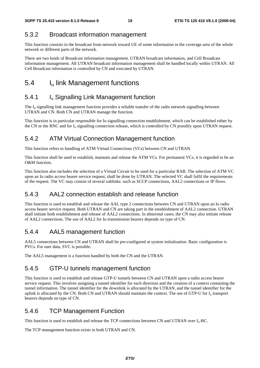### 5.3.2 Broadcast information management

This function consists in the broadcast from network toward UE of some information in the coverage area of the whole network or different parts of the network.

There are two kinds of Broadcast information management. UTRAN broadcast information, and Cell Broadcast information management. All UTRAN broadcast information management shall be handled locally within UTRAN. All Cell Broadcast information is controlled by CN and executed by UTRAN.

## 5.4 I<sub>u</sub> link Management functions

### 5.4.1 **I**<sub>u</sub> Signalling Link Management function

The I<sub>u</sub> signalling link management function provides a reliable transfer of the radio network signalling between UTRAN and CN. Both CN and UTRAN manage the function.

This function is in particular responsible for Iu signalling connection establishment, which can be established either by the CN or the RNC and for  $I_u$  signalling connection release, which is controlled by CN possibly upon UTRAN request.

### 5.4.2 ATM Virtual Connection Management function

This function refers to handling of ATM Virtual Connections (VCs) between CN and UTRAN.

This function shall be used to establish, maintain and release the ATM VCs. For permanent VCs, it is regarded to be an O&M function.

This function also includes the selection of a Virtual Circuit to be used for a particular RAB. The selection of ATM VC upon an Iu radio access bearer service request, shall be done by UTRAN. The selected VC shall fulfil the requirements of the request. The VC may consist of several sublinks: such as SCCP connections, AAL2 connections or IP flows.

### 5.4.3 AAL2 connection establish and release function

This function is used to establish and release the AAL type 2 connections between CN and UTRAN upon an Iu radio access bearer service request. Both UTRAN and CN are taking part in the establishment of AAL2 connection. UTRAN shall initiate both establishment and release of AAL2 connections. In abnormal cases, the CN may also initiate release of AAL2 connections. The use of AAL2 for Iu transmission bearers depends on type of CN.

### 5.4.4 AAL5 management function

AAL5 connections between CN and UTRAN shall be pre-configured at system initialisation. Basic configuration is PVCs. For user data, SVC is possible.

The AAL5 management is a function handled by both the CN and the UTRAN.

### 5.4.5 GTP-U tunnels management function

This function is used to establish and release GTP-U tunnels between CN and UTRAN upon a radio access bearer service request. This involves assigning a tunnel identifier for each direction and the creation of a context containing the tunnel information. The tunnel identifier for the downlink is allocated by the UTRAN, and the tunnel identifier for the uplink is allocated by the CN. Both CN and UTRAN should maintain the context. The use of GTP-U for I<sub>u</sub> transport bearers depends on type of CN.

### 5.4.6 TCP Management Function

This function is used to establish and release the TCP connections between CN and UTRAN over Iu-BC.

The TCP management function exists in both UTRAN and CN.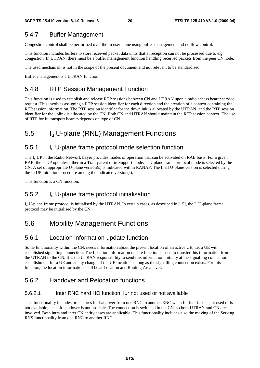### 5.4.7 Buffer Management

Congestion control shall be performed over the Iu user plane using buffer management and no flow control.

This function includes buffers to store received packet data units that at reception can not be processed due to e.g. congestion. In UTRAN, there must be a buffer management function handling received packets from the peer CN node.

The used mechanism is not in the scope of the present document and not relevant to be standardised.

Buffer management is a UTRAN function.

### 5.4.8 RTP Session Management Function

This function is used to establish and release RTP sessions between CN and UTRAN upon a radio access bearer service request. This involves assigning a RTP session identifier for each direction and the creation of a context containing the RTP session information. The RTP session identifier for the downlink is allocated by the UTRAN, and the RTP session identifier for the uplink is allocated by the CN. Both CN and UTRAN should maintain the RTP session context. The use of RTP for Iu transport bearers depends on type of CN.

## 5.5 Iu U-plane (RNL) Management Functions

### 5.5.1 Iu U-plane frame protocol mode selection function

The  $I_{\rm u}$  UP in the Radio Network Layer provides modes of operation that can be activated on RAB basis. For a given RAB, the  $I_{\rm u}$  UP operates either in a Transparent or in Support mode.  $I_{\rm u}$  U-plane frame protocol mode is selected by the CN. A set of appropriate U-plane version(s) is indicated within RANAP. The final U-plane version is selected during the Iu UP initiation procedure among the indicated version(s).

This function is a CN function.

### 5.5.2 Iu U-plane frame protocol initialisation

 $I_{\rm u}$  U-plane frame protocol is initialised by the UTRAN. In certain cases, as described in [15], the  $I_{\rm u}$  U-plane frame protocol may be initialised by the CN.

### 5.6 Mobility Management Functions

### 5.6.1 Location information update function

Some functionality within the CN, needs information about the present location of an active UE, i.e. a UE with established signalling connection. The Location information update function is used to transfer this information from the UTRAN to the CN. It is the UTRAN responsibility to send this information initially at the signalling connection establishment for a UE and at any change of the UE location as long as the signalling connection exists. For this function, the location information shall be at Location and Routing Area level.

### 5.6.2 Handover and Relocation functions

#### 5.6.2.1 Inter RNC hard HO function, Iur not used or not available

This functionality includes procedures for handover from one RNC to another RNC when Iur interface is not used or is not available, i.e. soft handover is not possible. The connection is switched in the CN, so both UTRAN and CN are involved. Both intra and inter CN entity cases are applicable. This functionality includes also the moving of the Serving RNS functionality from one RNC to another RNC.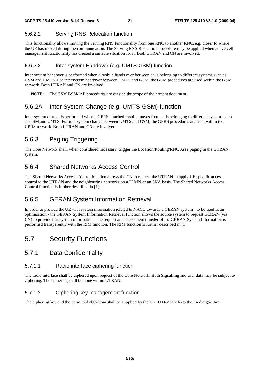#### 5.6.2.2 Serving RNS Relocation function

This functionality allows moving the Serving RNS functionality from one RNC to another RNC, e.g. closer to where the UE has moved during the communication. The Serving RNS Relocation procedure may be applied when active cell management functionality has created a suitable situation for it. Both UTRAN and CN are involved.

#### 5.6.2.3 Inter system Handover (e.g. UMTS-GSM) function

Inter system handover is performed when a mobile hands over between cells belonging to different systems such as GSM and UMTS. For intersystem handover between UMTS and GSM, the GSM procedures are used within the GSM network. Both UTRAN and CN are involved.

NOTE: The GSM BSSMAP procedures are outside the scope of the present document.

### 5.6.2A Inter System Change (e.g. UMTS-GSM) function

Inter system change is performed when a GPRS attached mobile moves from cells belonging to different systems such as GSM and UMTS. For intersystem change between UMTS and GSM, the GPRS procedures are used within the GPRS network. Both UTRAN and CN are involved.

### 5.6.3 Paging Triggering

The Core Network shall, when considered necessary, trigger the Location/Routing/RNC Area paging in the UTRAN system.

### 5.6.4 Shared Networks Access Control

The Shared Networks Access Control function allows the CN to request the UTRAN to apply UE specific access control to the UTRAN and the neighbouring networks on a PLMN or an SNA basis. The Shared Networks Access Control function is further described in [1].

### 5.6.5 GERAN System Information Retrieval

In order to provide the UE with system information related to NACC towards a GERAN system - to be used as an optimisation - the GERAN System Information Retrieval function allows the source system to request GERAN (via CN) to provide this system information. The request and subsequent transfer of the GERAN System Information is performed transparently with the RIM function. The RIM function is further described in [1]

### 5.7 Security Functions

#### 5.7.1 Data Confidentiality

#### 5.7.1.1 Radio interface ciphering function

The radio interface shall be ciphered upon request of the Core Network. Both Signalling and user data may be subject to ciphering. The ciphering shall be done within UTRAN.

#### 5.7.1.2 Ciphering key management function

The ciphering key and the permitted algorithm shall be supplied by the CN. UTRAN selects the used algorithm.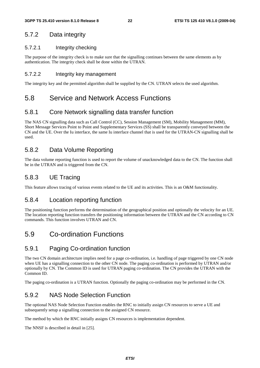### 5.7.2 Data integrity

#### 5.7.2.1 Integrity checking

The purpose of the integrity check is to make sure that the signalling continues between the same elements as by authentication. The integrity check shall be done within the UTRAN.

#### 5.7.2.2 Integrity key management

The integrity key and the permitted algorithm shall be supplied by the CN. UTRAN selects the used algorithm.

### 5.8 Service and Network Access Functions

### 5.8.1 Core Network signalling data transfer function

The NAS CN signalling data such as Call Control (CC), Session Management (SM), Mobility Management (MM), Short Message Services Point to Point and Supplementary Services (SS) shall be transparently conveyed between the CN and the UE. Over the Iu interface, the same Iu interface channel that is used for the UTRAN-CN signalling shall be used.

### 5.8.2 Data Volume Reporting

The data volume reporting function is used to report the volume of unacknowledged data to the CN. The function shall be in the UTRAN and is triggered from the CN.

### 5.8.3 UE Tracing

This feature allows tracing of various events related to the UE and its activities. This is an O&M functionality.

#### 5.8.4 Location reporting function

The positioning function performs the determination of the geographical position and optionally the velocity for an UE. The location reporting function transfers the positioning information between the UTRAN and the CN according to CN commands. This function involves UTRAN and CN.

## 5.9 Co-ordination Functions

### 5.9.1 Paging Co-ordination function

The two CN domain architecture implies need for a page co-ordination, i.e. handling of page triggered by one CN node when UE has a signalling connection to the other CN node. The paging co-ordination is performed by UTRAN and/or optionally by CN. The Common ID is used for UTRAN paging co-ordination. The CN provides the UTRAN with the Common ID.

The paging co-ordination is a UTRAN function. Optionally the paging co-ordination may be performed in the CN.

### 5.9.2 NAS Node Selection Function

The optional NAS Node Selection Function enables the RNC to initially assign CN resources to serve a UE and subsequently setup a signalling connection to the assigned CN resource.

The method by which the RNC initially assigns CN resources is implementation dependent.

The NNSF is described in detail in [25].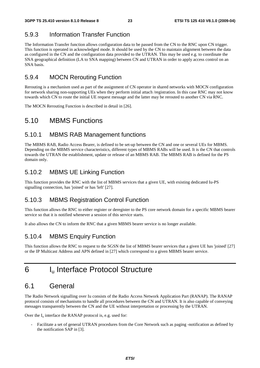## 5.9.3 Information Transfer Function

The Information Transfer function allows configuration data to be passed from the CN to the RNC upon CN trigger. This function is operated in acknowledged mode. It should be used by the CN to maintain alignment between the data as configured in the CN and the configuration data provided to the UTRAN. This may be used e.g. to coordinate the SNA geographical definition (LA to SNA mapping) between CN and UTRAN in order to apply access control on an SNA basis.

### 5.9.4 MOCN Rerouting Function

Rerouting is a mechanism used as part of the assignment of CN operator in shared networks with MOCN configuration for network sharing non-supporting UEs when they perform initial attach /registration. In this case RNC may not know towards which CN to route the initial UE request message and the latter may be rerouted to another CN via RNC.

The MOCN Rerouting Function is described in detail in [26].

## 5.10 MBMS Functions

### 5.10.1 MBMS RAB Management functions

The MBMS RAB, Radio Access Bearer, is defined to be set-up between the CN and one or several UEs for MBMS. Depending on the MBMS service characteristics, different types of MBMS RABs will be used. It is the CN that controls towards the UTRAN the establishment, update or release of an MBMS RAB. The MBMS RAB is defined for the PS domain only.

## 5.10.2 MBMS UE Linking Function

This function provides the RNC with the list of MBMS services that a given UE, with existing dedicated Iu-PS signalling connection, has 'joined' or has 'left' [27].

### 5.10.3 MBMS Registration Control Function

This function allows the RNC to either register or deregister to the PS core network domain for a specific MBMS bearer service so that it is notified whenever a session of this service starts.

It also allows the CN to inform the RNC that a given MBMS bearer service is no longer available.

### 5.10.4 MBMS Enquiry Function

This function allows the RNC to request to the SGSN the list of MBMS bearer services that a given UE has 'joined' [27] or the IP Multicast Address and APN defined in [27] which correspond to a given MBMS bearer service.

## 6 Iu Interface Protocol Structure

## 6.1 General

The Radio Network signalling over Iu consists of the Radio Access Network Application Part (RANAP). The RANAP protocol consists of mechanisms to handle all procedures between the CN and UTRAN. It is also capable of conveying messages transparently between the CN and the UE without interpretation or processing by the UTRAN.

Over the  $I_u$  interface the RANAP protocol is, e.g. used for:

- Facilitate a set of general UTRAN procedures from the Core Network such as paging -notification as defined by the notification SAP in [3].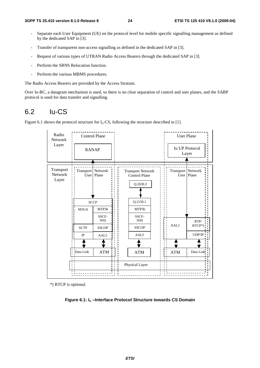- Separate each User Equipment (UE) on the protocol level for mobile specific signalling management as defined by the dedicated SAP in [3].
- Transfer of transparent non-access signalling as defined in the dedicated SAP in [3].
- Request of various types of UTRAN Radio Access Bearers through the dedicated SAP in [3].
- Perform the SRNS Relocation function.
- Perform the various MBMS procedures.

The Radio Access Bearers are provided by the Access Stratum.

Over Iu-BC, a datagram mechanism is used, so there is no clear separation of control and user planes, and the SABP protocol is used for data transfer and signalling.

### 6.2 Iu-CS

Figure 6.1 shows the protocol structure for  $I_u$ -CS, following the structure described in [1].



\*) RTCP is optional.

**Figure 6.1: Iu –Interface Protocol Structure towards CS Domain**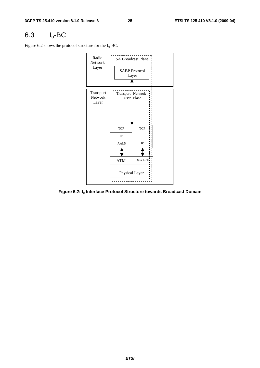## 6.3 Iu-BC

Figure 6.2 shows the protocol structure for the  $I_u$ -BC.



**Figure 6.2: Iu Interface Protocol Structure towards Broadcast Domain**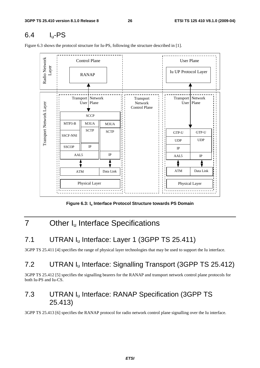## 6.4 Iu-PS

Figure 6.3 shows the protocol structure for Iu-PS, following the structure described in [1].



Figure 6.3: I<sub>u</sub> Interface Protocol Structure towards PS Domain

## 7 Other I<sub>u</sub> Interface Specifications

## 7.1 UTRAN I<sub>u</sub> Interface: Layer 1 (3GPP TS 25.411)

3GPP TS 25.411 [4] specifies the range of physical layer technologies that may be used to support the Iu interface.

## 7.2 UTRAN Iu Interface: Signalling Transport (3GPP TS 25.412)

3GPP TS 25.412 [5] specifies the signalling bearers for the RANAP and transport network control plane protocols for both Iu-PS and Iu-CS.

## 7.3 UTRAN Iu Interface: RANAP Specification (3GPP TS 25.413)

3GPP TS 25.413 [6] specifies the RANAP protocol for radio network control plane signalling over the Iu interface.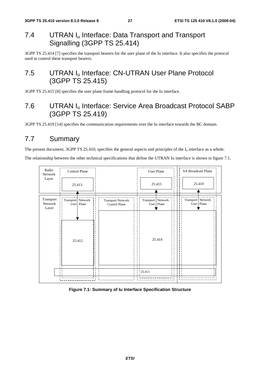## 7.4 UTRAN I<sub>u</sub> Interface: Data Transport and Transport Signalling (3GPP TS 25.414)

3GPP TS 25.414 [7] specifies the transport bearers for the user plane of the Iu interface. It also specifies the protocol used to control these transport bearers.

## 7.5 UTRAN I<sub>u</sub> Interface: CN-UTRAN User Plane Protocol (3GPP TS 25.415)

3GPP TS 25.415 [8] specifies the user plane frame handling protocol for the Iu interface.

## 7.6 UTRAN Iu Interface: Service Area Broadcast Protocol SABP (3GPP TS 25.419)

3GPP TS 25.419 [14] specifies the communication requirements over the Iu interface towards the BC domain.

## 7.7 Summary

The present document, 3GPP TS 25.410, specifies the general aspects and principles of the  $I_u$  interface as a whole.

The relationship between the other technical specifications that define the UTRAN Iu interface is shown in figure 7.1.



#### **Figure 7.1: Summary of Iu Interface Specification Structure**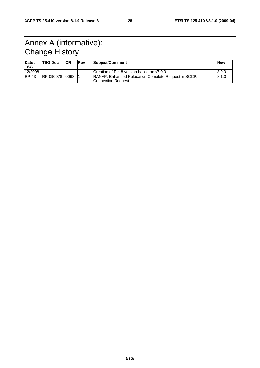## Annex A (informative): Change History

| Date<br>'TSG | <b>TSG Doc</b> | <b>CR</b> | <b>Rev</b> | <b>Subject/Comment</b>                                      | <b>New</b> |
|--------------|----------------|-----------|------------|-------------------------------------------------------------|------------|
| 12/2008      |                |           |            | Creation of Rel-8 version based on y7.0.0                   | 8.0.0      |
| $RP-43$      | RP-090078      | 0068      |            | <b>RANAP: Enhanced Relocation Complete Request in SCCP:</b> | 8.1.0      |
|              |                |           |            | Connection Request                                          |            |